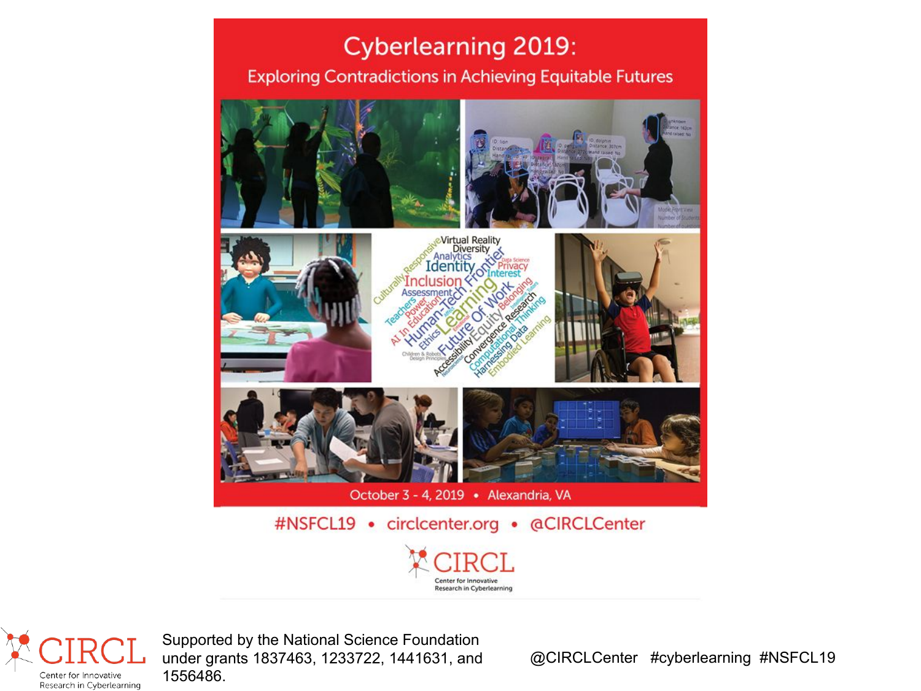#### **Cyberlearning 2019:**

#### **Exploring Contradictions in Achieving Equitable Futures**







October 3 - 4, 2019 · Alexandria, VA

#NSFCL19 • circlcenter.org • @CIRCLCenter



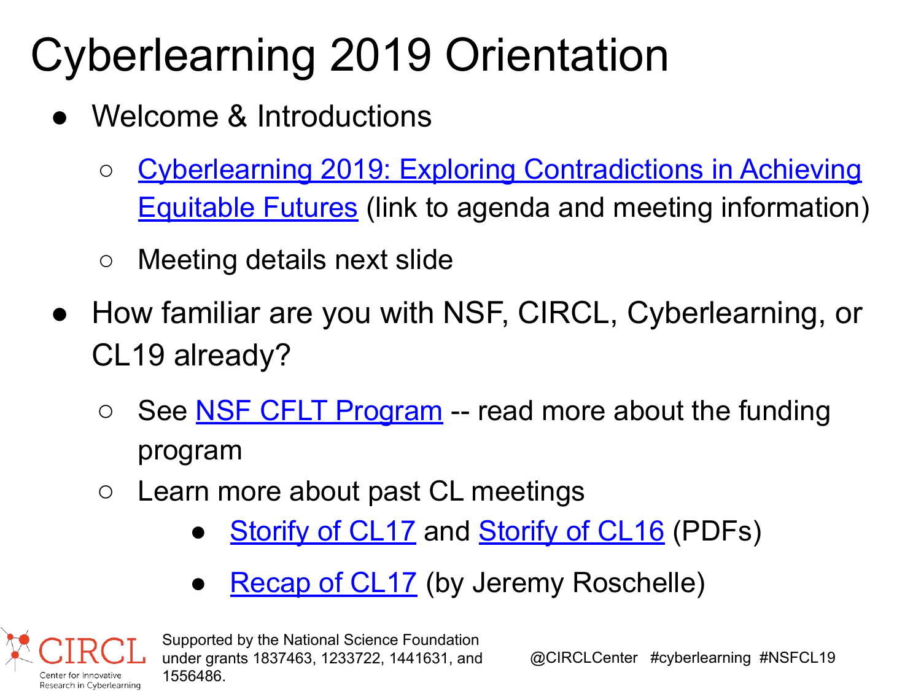# Cyberlearning 2019 Orientation

- Welcome & Introductions
	- [Cyberlearning 2019: Exploring Contradictions in Achieving](https://circlcenter.org/events/cyberlearning-2019/) [Equitable Futures](https://circlcenter.org/events/cyberlearning-2019/) (link to agenda and meeting information)
	- Meeting details next slide
- How familiar are you with NSF, CIRCL, Cyberlearning, or CL19 already?
	- See **NSF CFLT Program** -- read more about the funding program
	- Learn more about past CL meetings
		- **[Storify of CL17](http://circlcenter.org/wp-content/uploads/2018/05/Storify-CL17.pdf) and [Storify of CL16](http://circlcenter.org/wp-content/uploads/2018/05/Storify-CL16.pdf) (PDFs)**
		- **Recap of CL17** (by Jeremy Roschelle)

Research in Cyberlearning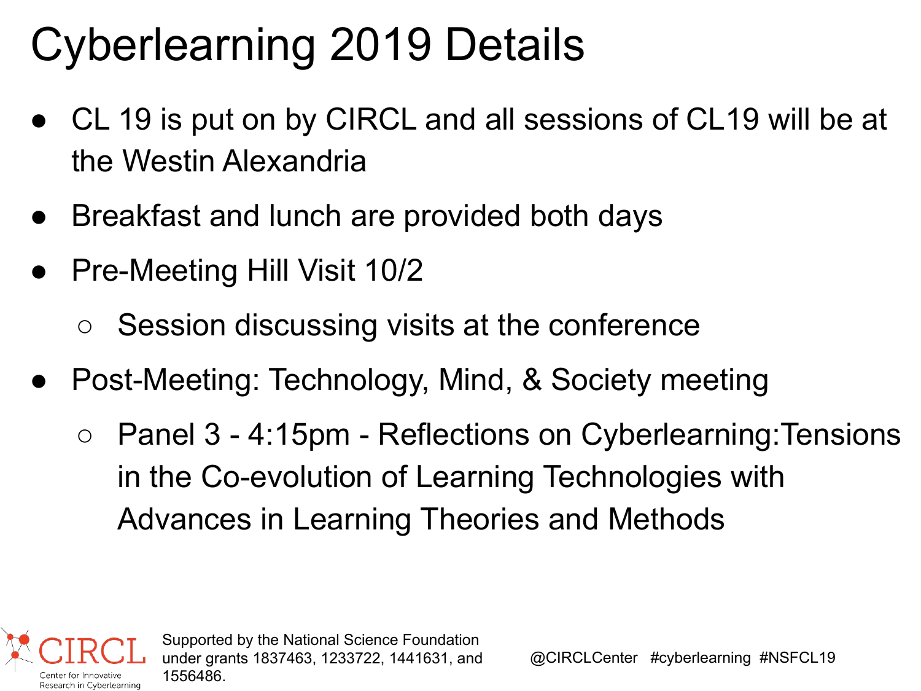## Cyberlearning 2019 Details

- CL 19 is put on by CIRCL and all sessions of CL19 will be at the Westin Alexandria
- Breakfast and lunch are provided both days
- Pre-Meeting Hill Visit 10/2

Research in Cyberlearning

- Session discussing visits at the conference
- Post-Meeting: Technology, Mind, & Society meeting
	- Panel 3 4:15pm Reflections on Cyberlearning: Tensions in the Co-evolution of Learning Technologies with Advances in Learning Theories and Methods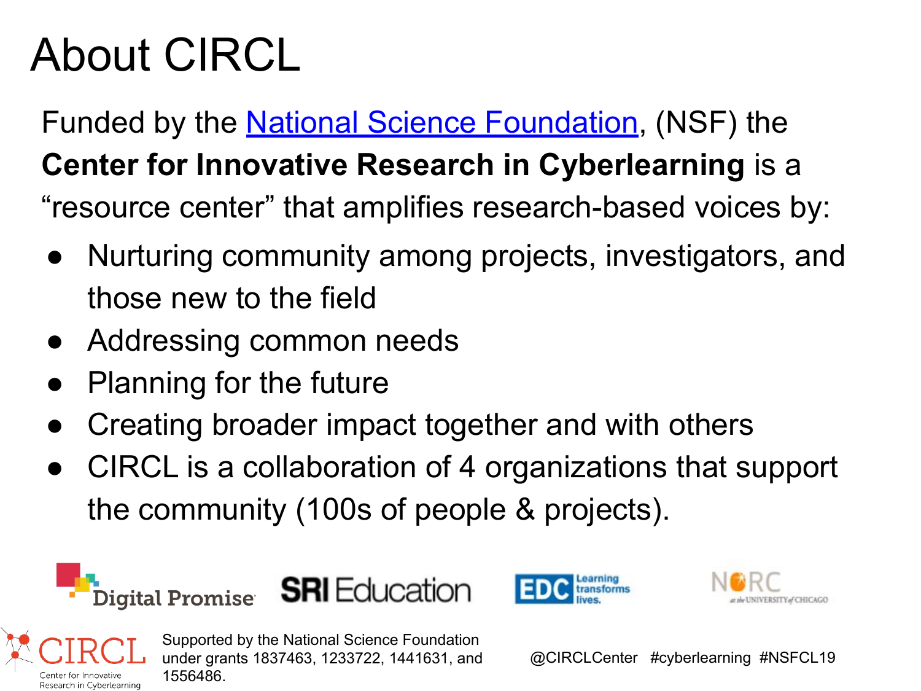### About CIRCL

Funded by the [National Science Foundation](http://nsf.gov), (NSF) the **Center for Innovative Research in Cyberlearning** is a "resource center" that amplifies research-based voices by:

- Nurturing community among projects, investigators, and those new to the field
- Addressing common needs
- **Planning for the future**
- Creating broader impact together and with others
- CIRCL is a collaboration of 4 organizations that support the community (100s of people & projects).



lenter for Innovative Research in Cyberlearning 1556486.





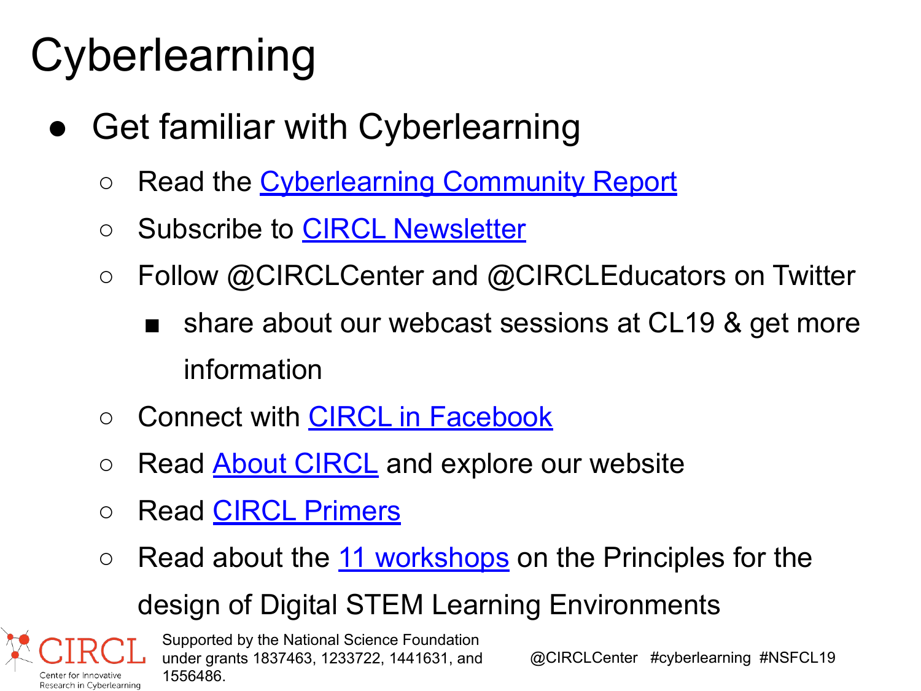## **Cyberlearning**

- **Get familiar with Cyberlearning** 
	- Read the [Cyberlearning Community Report](https://circlcenter.org/resources/community-report/)
	- Subscribe to [CIRCL Newsletter](https://circlcenter.org/newsletter/)
	- Follow @CIRCLCenter and @CIRCLEducators on Twitter
		- share about our webcast sessions at CL19 & get more information
	- Connect with [CIRCL in Facebook](https://www.facebook.com/CIRCLCenter)
	- Read [About CIRCL](https://circlcenter.org/about/) and explore our website
	- Read [CIRCL Primers](http://circlcenter.org/primers/)

Center for Innovative

 $\circ$  Read about the [11 workshops](https://circlcenter.org/events/synthesis-design-workshops/) on the Principles for the

### design of Digital STEM Learning Environments

Supported by the National Science Foundation under grants 1837463, 1233722, 1441631, and 1556486. Research in Cyberlearning

@CIRCLCenter #cyberlearning #NSFCL19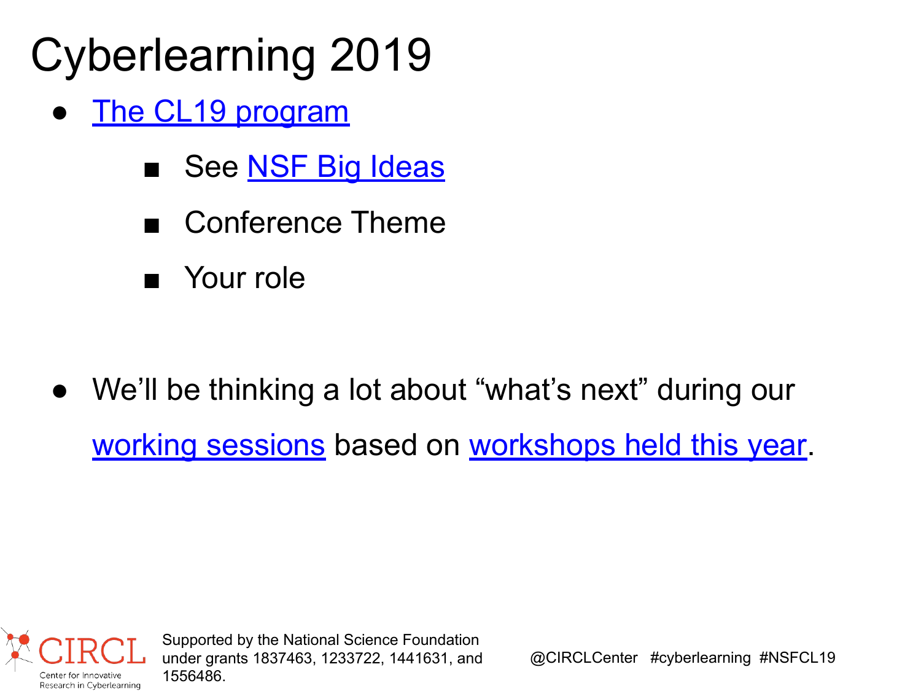## Cyberlearning 2019

- [The CL19 program](https://circlcenter.org/events/cyberlearning-2019/)
	- See [NSF Big Ideas](https://www.nsf.gov/about/congress/reports/nsf_big_ideas.pdf)
	- Conference Theme
	- Your role

● We'll be thinking a lot about "what's next" during our [working sessions](http://circlcenter.org/events/cyberlearning-2019/working-sessions/) based on [workshops held this year](https://circlcenter.org/events/synthesis-design-workshops/).

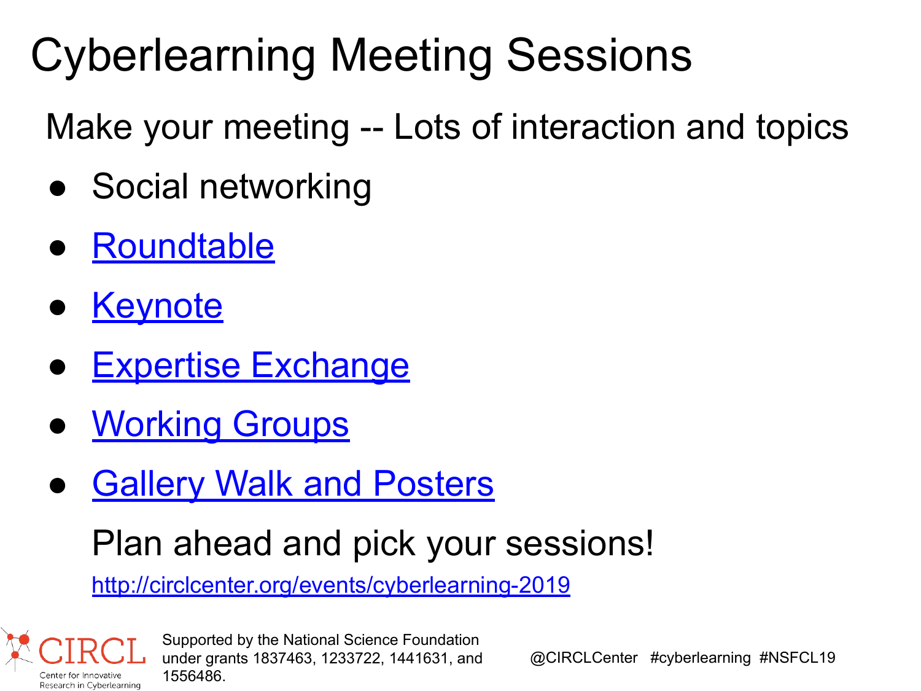## Cyberlearning Meeting Sessions

Make your meeting -- Lots of interaction and topics

- Social networking
- **[Roundtable](http://circlcenter.org/events/cyberlearning-2019/roundtables/)**
- **[Keynote](http://circlcenter.org/cl19-keynote-speakers/)**
- **[Expertise Exchange](http://circlcenter.org/events/cyberlearning-2019/expertise-exchanges/)**
- **[Working Groups](http://circlcenter.org/events/cyberlearning-2019/working-sessions/)**
- **[Gallery Walk and Posters](http://circlcenter.org/events/cyberlearning-2019/gallery-walk/)**

### Plan ahead and pick your sessions!

<http://circlcenter.org/events/cyberlearning-2019>

lenter for Innovative Research in Cyberlearning